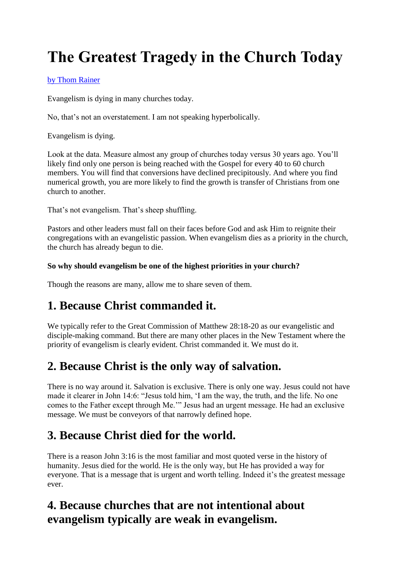# **The Greatest Tragedy in the Church Today**

#### [by Thom Rainer](http://www.churchleaders.com/author/ThomRainer/)

Evangelism is dying in many churches today.

No, that's not an overstatement. I am not speaking hyperbolically.

Evangelism is dying.

Look at the data. Measure almost any group of churches today versus 30 years ago. You'll likely find only one person is being reached with the Gospel for every 40 to 60 church members. You will find that conversions have declined precipitously. And where you find numerical growth, you are more likely to find the growth is transfer of Christians from one church to another.

That's not evangelism. That's sheep shuffling.

Pastors and other leaders must fall on their faces before God and ask Him to reignite their congregations with an evangelistic passion. When evangelism dies as a priority in the church, the church has already begun to die.

#### **So why should evangelism be one of the highest priorities in your church?**

Though the reasons are many, allow me to share seven of them.

### **1. Because Christ commanded it.**

We typically refer to the Great Commission of Matthew 28:18-20 as our evangelistic and disciple-making command. But there are many other places in the New Testament where the priority of evangelism is clearly evident. Christ commanded it. We must do it.

# **2. Because Christ is the only way of salvation.**

There is no way around it. Salvation is exclusive. There is only one way. Jesus could not have made it clearer in John 14:6: "Jesus told him, 'I am the way, the truth, and the life. No one comes to the Father except through Me.'" Jesus had an urgent message. He had an exclusive message. We must be conveyors of that narrowly defined hope.

# **3. Because Christ died for the world.**

There is a reason John 3:16 is the most familiar and most quoted verse in the history of humanity. Jesus died for the world. He is the only way, but He has provided a way for everyone. That is a message that is urgent and worth telling. Indeed it's the greatest message ever.

# **4. Because churches that are not intentional about evangelism typically are weak in evangelism.**